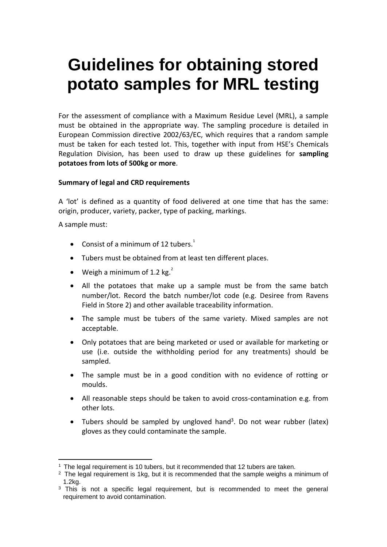# **Guidelines for obtaining stored potato samples for MRL testing**

For the assessment of compliance with a Maximum Residue Level (MRL), a sample must be obtained in the appropriate way. The sampling procedure is detailed in European Commission directive 2002/63/EC, which requires that a random sample must be taken for each tested lot. This, together with input from HSE's Chemicals Regulation Division, has been used to draw up these guidelines for **sampling potatoes from lots of 500kg or more**.

### **Summary of legal and CRD requirements**

A 'lot' is defined as a quantity of food delivered at one time that has the same: origin, producer, variety, packer, type of packing, markings.

A sample must:

- Consist of a minimum of 12 tubers.<sup>1</sup>
- Tubers must be obtained from at least ten different places.
- Weigh a minimum of 1.2 kg.<sup>2</sup>
- All the potatoes that make up a sample must be from the same batch number/lot. Record the batch number/lot code (e.g. Desiree from Ravens Field in Store 2) and other available traceability information.
- The sample must be tubers of the same variety. Mixed samples are not acceptable.
- Only potatoes that are being marketed or used or available for marketing or use (i.e. outside the withholding period for any treatments) should be sampled.
- The sample must be in a good condition with no evidence of rotting or moulds.
- All reasonable steps should be taken to avoid cross-contamination e.g. from other lots.
- Tubers should be sampled by ungloved hand<sup>3</sup>. Do not wear rubber (latex) gloves as they could contaminate the sample.

<sup>1</sup> The legal requirement is 10 tubers, but it recommended that 12 tubers are taken.

 $2$  The legal requirement is 1kg, but it is recommended that the sample weighs a minimum of 1.2kg.

<sup>&</sup>lt;sup>3</sup> This is not a specific legal requirement, but is recommended to meet the general requirement to avoid contamination.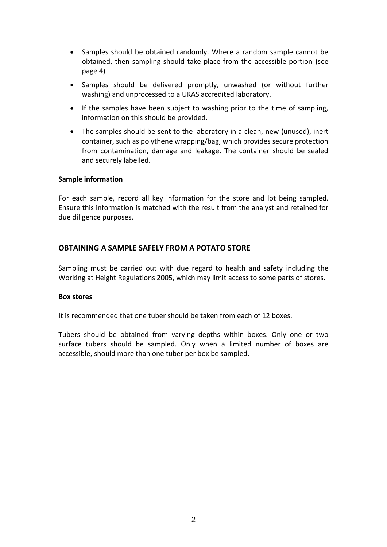- Samples should be obtained randomly. Where a random sample cannot be obtained, then sampling should take place from the accessible portion (see page 4)
- Samples should be delivered promptly, unwashed (or without further washing) and unprocessed to a UKAS accredited laboratory.
- If the samples have been subject to washing prior to the time of sampling, information on this should be provided.
- The samples should be sent to the laboratory in a clean, new (unused), inert container, such as polythene wrapping/bag, which provides secure protection from contamination, damage and leakage. The container should be sealed and securely labelled.

#### **Sample information**

For each sample, record all key information for the store and lot being sampled. Ensure this information is matched with the result from the analyst and retained for due diligence purposes.

## **OBTAINING A SAMPLE SAFELY FROM A POTATO STORE**

Sampling must be carried out with due regard to health and safety including the Working at Height Regulations 2005, which may limit access to some parts of stores.

#### **Box stores**

It is recommended that one tuber should be taken from each of 12 boxes.

Tubers should be obtained from varying depths within boxes. Only one or two surface tubers should be sampled. Only when a limited number of boxes are accessible, should more than one tuber per box be sampled.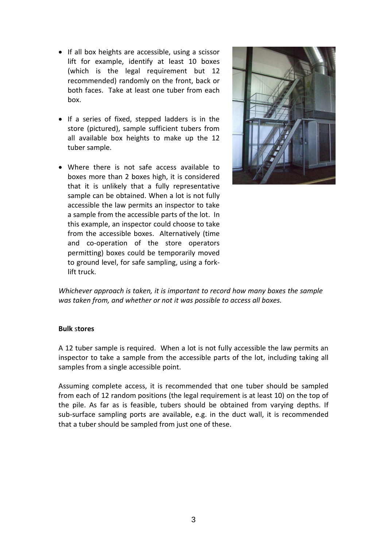- If all box heights are accessible, using a scissor lift for example, identify at least 10 boxes (which is the legal requirement but 12 recommended) randomly on the front, back or both faces. Take at least one tuber from each box.
- If a series of fixed, stepped ladders is in the store (pictured), sample sufficient tubers from all available box heights to make up the 12 tuber sample.
- Where there is not safe access available to boxes more than 2 boxes high, it is considered that it is unlikely that a fully representative sample can be obtained. When a lot is not fully accessible the law permits an inspector to take a sample from the accessible parts of the lot. In this example, an inspector could choose to take from the accessible boxes. Alternatively (time and co-operation of the store operators permitting) boxes could be temporarily moved to ground level, for safe sampling, using a forklift truck.



*Whichever approach is taken, it is important to record how many boxes the sample was taken from, and whether or not it was possible to access all boxes.* 

#### **Bulk** s**tores**

A 12 tuber sample is required. When a lot is not fully accessible the law permits an inspector to take a sample from the accessible parts of the lot, including taking all samples from a single accessible point.

Assuming complete access, it is recommended that one tuber should be sampled from each of 12 random positions (the legal requirement is at least 10) on the top of the pile. As far as is feasible, tubers should be obtained from varying depths. If sub-surface sampling ports are available, e.g. in the duct wall, it is recommended that a tuber should be sampled from just one of these.